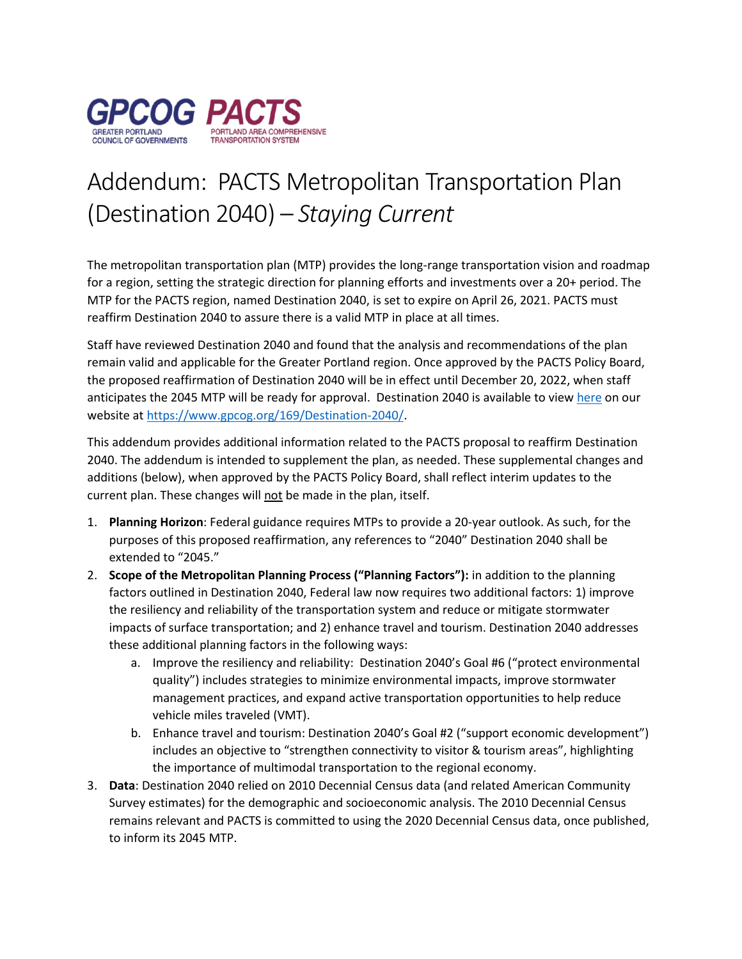

## Addendum: PACTS Metropolitan Transportation Plan (Destination 2040) – *Staying Current*

The metropolitan transportation plan (MTP) provides the long-range transportation vision and roadmap for a region, setting the strategic direction for planning efforts and investments over a 20+ period. The MTP for the PACTS region, named Destination 2040, is set to expire on April 26, 2021. PACTS must reaffirm Destination 2040 to assure there is a valid MTP in place at all times.

Staff have reviewed Destination 2040 and found that the analysis and recommendations of the plan remain valid and applicable for the Greater Portland region. Once approved by the PACTS Policy Board, the proposed reaffirmation of Destination 2040 will be in effect until December 20, 2022, when staff anticipates the 2045 MTP will be ready for approval. Destination 2040 is available to view [here](https://www.gpcog.org/169/Destination-2040) on our website at [https://www.gpcog.org/169/Destination-2040/.](https://www.gpcog.org/169/Destination-2040/)

This addendum provides additional information related to the PACTS proposal to reaffirm Destination 2040. The addendum is intended to supplement the plan, as needed. These supplemental changes and additions (below), when approved by the PACTS Policy Board, shall reflect interim updates to the current plan. These changes will not be made in the plan, itself.

- 1. **Planning Horizon**: Federal guidance requires MTPs to provide a 20-year outlook. As such, for the purposes of this proposed reaffirmation, any references to "2040" Destination 2040 shall be extended to "2045."
- 2. **Scope of the Metropolitan Planning Process ("Planning Factors"):** in addition to the planning factors outlined in Destination 2040, Federal law now requires two additional factors: 1) improve the resiliency and reliability of the transportation system and reduce or mitigate stormwater impacts of surface transportation; and 2) enhance travel and tourism. Destination 2040 addresses these additional planning factors in the following ways:
	- a. Improve the resiliency and reliability: Destination 2040's Goal #6 ("protect environmental quality") includes strategies to minimize environmental impacts, improve stormwater management practices, and expand active transportation opportunities to help reduce vehicle miles traveled (VMT).
	- b. Enhance travel and tourism: Destination 2040's Goal #2 ("support economic development") includes an objective to "strengthen connectivity to visitor & tourism areas", highlighting the importance of multimodal transportation to the regional economy.
- 3. **Data**: Destination 2040 relied on 2010 Decennial Census data (and related American Community Survey estimates) for the demographic and socioeconomic analysis. The 2010 Decennial Census remains relevant and PACTS is committed to using the 2020 Decennial Census data, once published, to inform its 2045 MTP.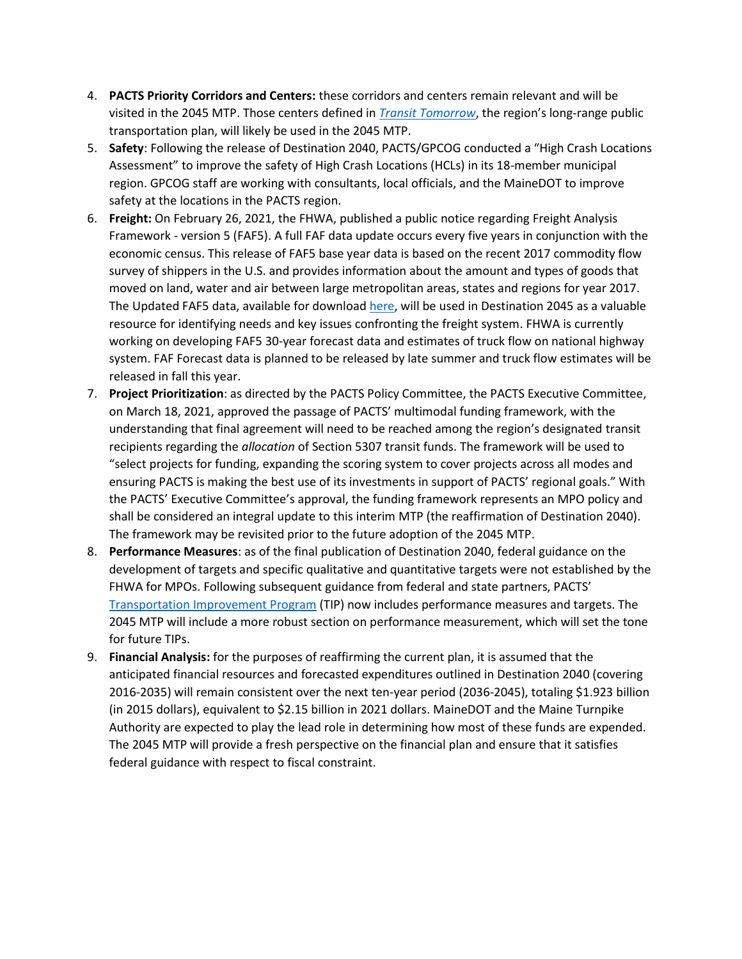- 4. **PACTS Priority Corridors and Centers:** these corridors and centers remain relevant and will be visited in the 2045 MTP. Those centers defined in *[Transit Tomorrow](https://www.gpcog.org/176/Transit-Tomorrow)*, the region's long-range public transportation plan, will likely be used in the 2045 MTP.
- 5. **Safety**: Following the release of Destination 2040, PACTS/GPCOG conducted a "High Crash Locations Assessment" to improve the safety of High Crash Locations (HCLs) in its 18-member municipal region. GPCOG staff are working with consultants, local officials, and the MaineDOT to improve safety at the locations in the PACTS region.
- 6. **Freight:** On February 26, 2021, the FHWA, published a public notice regarding Freight Analysis Framework - version 5 (FAF5). A full FAF data update occurs every five years in conjunction with the economic census. This release of FAF5 base year data is based on the recent 2017 commodity flow survey of shippers in the U.S. and provides information about the amount and types of goods that moved on land, water and air between large metropolitan areas, states and regions for year 2017. The Updated FAF5 data, available for download [here,](https://ops.fhwa.dot.gov/freight/freight_analysis/faf) will be used in Destination 2045 as a valuable resource for identifying needs and key issues confronting the freight system. FHWA is currently working on developing FAF5 30-year forecast data and estimates of truck flow on national highway system. FAF Forecast data is planned to be released by late summer and truck flow estimates will be released in fall this year.
- 7. **Project Prioritization**: as directed by the PACTS Policy Committee, the PACTS Executive Committee, on March 18, 2021, approved the passage of PACTS' multimodal funding framework, with the understanding that final agreement will need to be reached among the region's designated transit recipients regarding the *allocation* of Section 5307 transit funds. The framework will be used to "select projects for funding, expanding the scoring system to cover projects across all modes and ensuring PACTS is making the best use of its investments in support of PACTS' regional goals." With the PACTS' Executive Committee's approval, the funding framework represents an MPO policy and shall be considered an integral update to this interim MTP (the reaffirmation of Destination 2040). The framework may be revisited prior to the future adoption of the 2045 MTP.
- 8. **Performance Measures**: as of the final publication of Destination 2040, federal guidance on the development of targets and specific qualitative and quantitative targets were not established by the FHWA for MPOs. Following subsequent guidance from federal and state partners, PACTS' [Transportation Improvement Program](https://www.gpcog.org/178/Transportation-Improvement-Program#:~:text=The%20current%20PACTS%20Transportation%20Improvement,%2C%20on%20March%203%2C%202020.&text=The%20Maine%20Statewide%20Transportation%20Improvement,be%20available%20later%20this%20year.) (TIP) now includes performance measures and targets. The 2045 MTP will include a more robust section on performance measurement, which will set the tone for future TIPs.
- 9. **Financial Analysis:** for the purposes of reaffirming the current plan, it is assumed that the anticipated financial resources and forecasted expenditures outlined in Destination 2040 (covering 2016-2035) will remain consistent over the next ten-year period (2036-2045), totaling \$1.923 billion (in 2015 dollars), equivalent to \$2.15 billion in 2021 dollars. MaineDOT and the Maine Turnpike Authority are expected to play the lead role in determining how most of these funds are expended. The 2045 MTP will provide a fresh perspective on the financial plan and ensure that it satisfies federal guidance with respect to fiscal constraint.